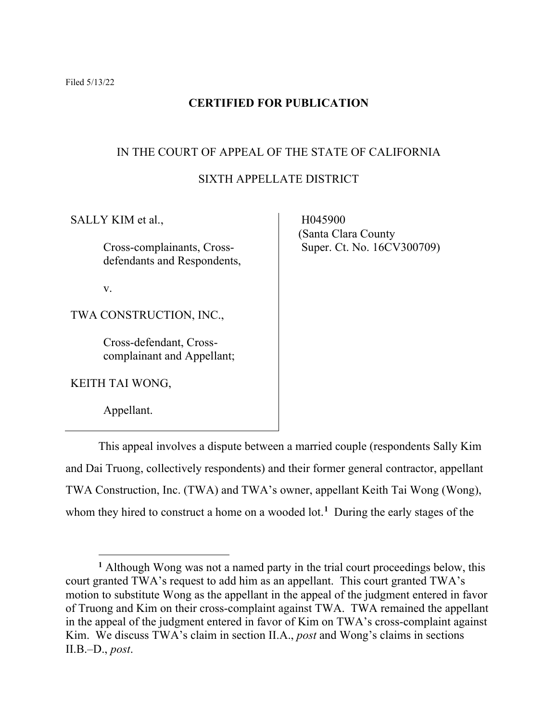# **CERTIFIED FOR PUBLICATION**

# IN THE COURT OF APPEAL OF THE STATE OF CALIFORNIA

# SIXTH APPELLATE DISTRICT

SALLY KIM et al.,

Cross-complainants, Crossdefendants and Respondents,

v.

TWA CONSTRUCTION, INC.,

Cross-defendant, Crosscomplainant and Appellant;

KEITH TAI WONG,

Appellant.

 H045900 (Santa Clara County Super. Ct. No. 16CV300709)

This appeal involves a dispute between a married couple (respondents Sally Kim and Dai Truong, collectively respondents) and their former general contractor, appellant TWA Construction, Inc. (TWA) and TWA's owner, appellant Keith Tai Wong (Wong), whom they hired to construct a home on a wooded lot.**[1](#page-0-0)** During the early stages of the

<span id="page-0-0"></span>**<sup>1</sup>** Although Wong was not a named party in the trial court proceedings below, this court granted TWA's request to add him as an appellant. This court granted TWA's motion to substitute Wong as the appellant in the appeal of the judgment entered in favor of Truong and Kim on their cross-complaint against TWA. TWA remained the appellant in the appeal of the judgment entered in favor of Kim on TWA's cross-complaint against Kim. We discuss TWA's claim in section II.A., *post* and Wong's claims in sections II.B.–D., *post*.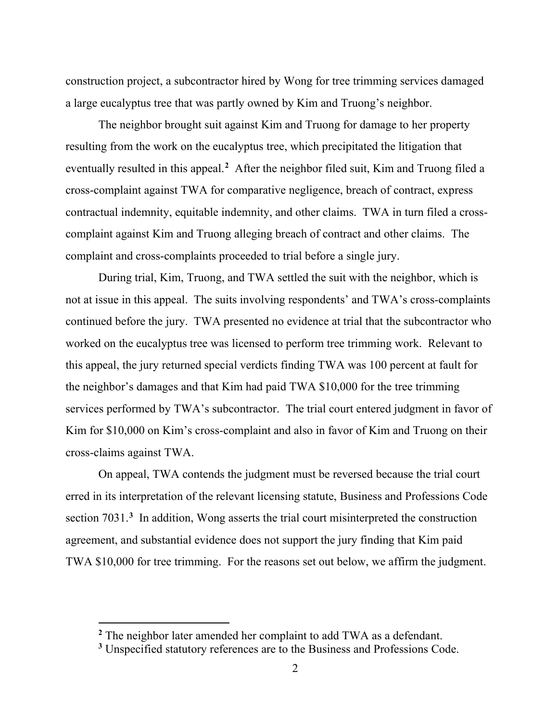construction project, a subcontractor hired by Wong for tree trimming services damaged a large eucalyptus tree that was partly owned by Kim and Truong's neighbor.

The neighbor brought suit against Kim and Truong for damage to her property resulting from the work on the eucalyptus tree, which precipitated the litigation that eventually resulted in this appeal.<sup>[2](#page-1-0)</sup> After the neighbor filed suit, Kim and Truong filed a cross-complaint against TWA for comparative negligence, breach of contract, express contractual indemnity, equitable indemnity, and other claims. TWA in turn filed a crosscomplaint against Kim and Truong alleging breach of contract and other claims. The complaint and cross-complaints proceeded to trial before a single jury.

During trial, Kim, Truong, and TWA settled the suit with the neighbor, which is not at issue in this appeal. The suits involving respondents' and TWA's cross-complaints continued before the jury. TWA presented no evidence at trial that the subcontractor who worked on the eucalyptus tree was licensed to perform tree trimming work. Relevant to this appeal, the jury returned special verdicts finding TWA was 100 percent at fault for the neighbor's damages and that Kim had paid TWA \$10,000 for the tree trimming services performed by TWA's subcontractor. The trial court entered judgment in favor of Kim for \$10,000 on Kim's cross-complaint and also in favor of Kim and Truong on their cross-claims against TWA.

On appeal, TWA contends the judgment must be reversed because the trial court erred in its interpretation of the relevant licensing statute, Business and Professions Code section 7031.**[3](#page-1-1)** In addition, Wong asserts the trial court misinterpreted the construction agreement, and substantial evidence does not support the jury finding that Kim paid TWA \$10,000 for tree trimming. For the reasons set out below, we affirm the judgment.

<span id="page-1-0"></span>**<sup>2</sup>** The neighbor later amended her complaint to add TWA as a defendant.

<span id="page-1-1"></span>**<sup>3</sup>** Unspecified statutory references are to the Business and Professions Code.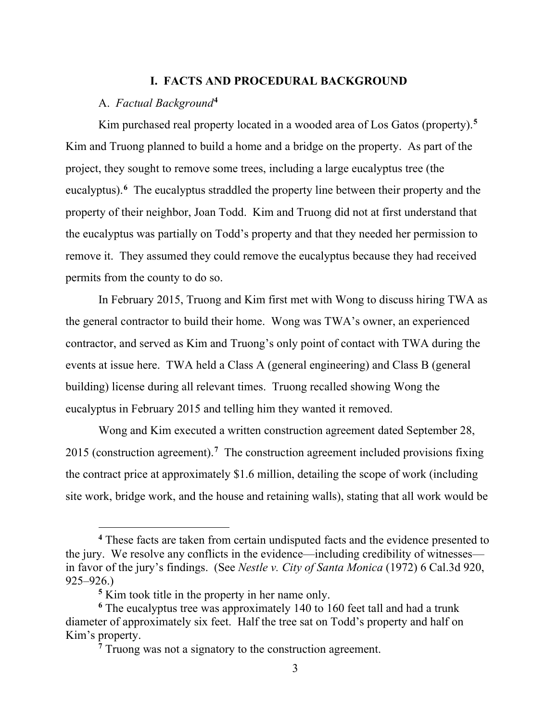## **I. FACTS AND PROCEDURAL BACKGROUND**

# A. *Factual Background***[4](#page-2-0)**

Kim purchased real property located in a wooded area of Los Gatos (property).**[5](#page-2-1)** Kim and Truong planned to build a home and a bridge on the property. As part of the project, they sought to remove some trees, including a large eucalyptus tree (the eucalyptus).<sup>[6](#page-2-2)</sup> The eucalyptus straddled the property line between their property and the property of their neighbor, Joan Todd. Kim and Truong did not at first understand that the eucalyptus was partially on Todd's property and that they needed her permission to remove it. They assumed they could remove the eucalyptus because they had received permits from the county to do so.

In February 2015, Truong and Kim first met with Wong to discuss hiring TWA as the general contractor to build their home. Wong was TWA's owner, an experienced contractor, and served as Kim and Truong's only point of contact with TWA during the events at issue here. TWA held a Class A (general engineering) and Class B (general building) license during all relevant times. Truong recalled showing Wong the eucalyptus in February 2015 and telling him they wanted it removed.

Wong and Kim executed a written construction agreement dated September 28, 2015 (construction agreement).**[7](#page-2-3)** The construction agreement included provisions fixing the contract price at approximately \$1.6 million, detailing the scope of work (including site work, bridge work, and the house and retaining walls), stating that all work would be

<span id="page-2-0"></span>**<sup>4</sup>** These facts are taken from certain undisputed facts and the evidence presented to the jury. We resolve any conflicts in the evidence—including credibility of witnesses in favor of the jury's findings. (See *Nestle v. City of Santa Monica* (1972) 6 Cal.3d 920, 925–926.)

**<sup>5</sup>** Kim took title in the property in her name only.

<span id="page-2-3"></span><span id="page-2-2"></span><span id="page-2-1"></span>**<sup>6</sup>** The eucalyptus tree was approximately 140 to 160 feet tall and had a trunk diameter of approximately six feet. Half the tree sat on Todd's property and half on Kim's property.

<sup>&</sup>lt;sup>7</sup> Truong was not a signatory to the construction agreement.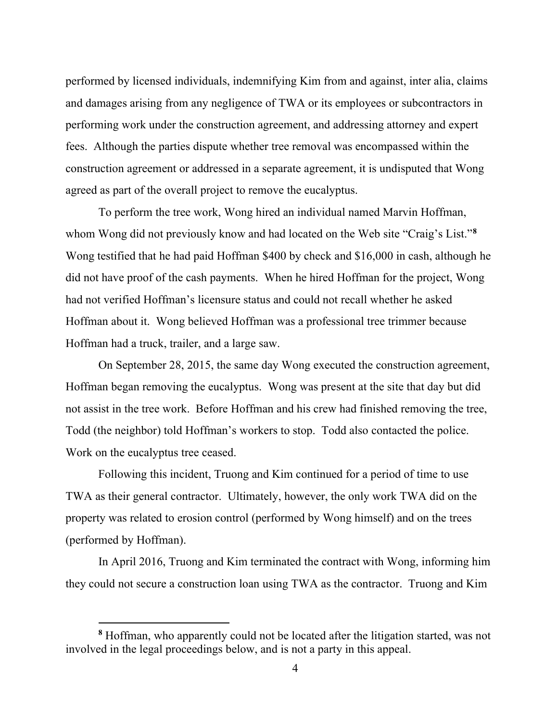performed by licensed individuals, indemnifying Kim from and against, inter alia, claims and damages arising from any negligence of TWA or its employees or subcontractors in performing work under the construction agreement, and addressing attorney and expert fees. Although the parties dispute whether tree removal was encompassed within the construction agreement or addressed in a separate agreement, it is undisputed that Wong agreed as part of the overall project to remove the eucalyptus.

To perform the tree work, Wong hired an individual named Marvin Hoffman, whom Wong did not previously know and had located on the Web site "Craig's List."**[8](#page-3-0)** Wong testified that he had paid Hoffman \$400 by check and \$16,000 in cash, although he did not have proof of the cash payments. When he hired Hoffman for the project, Wong had not verified Hoffman's licensure status and could not recall whether he asked Hoffman about it. Wong believed Hoffman was a professional tree trimmer because Hoffman had a truck, trailer, and a large saw.

On September 28, 2015, the same day Wong executed the construction agreement, Hoffman began removing the eucalyptus. Wong was present at the site that day but did not assist in the tree work. Before Hoffman and his crew had finished removing the tree, Todd (the neighbor) told Hoffman's workers to stop. Todd also contacted the police. Work on the eucalyptus tree ceased.

Following this incident, Truong and Kim continued for a period of time to use TWA as their general contractor. Ultimately, however, the only work TWA did on the property was related to erosion control (performed by Wong himself) and on the trees (performed by Hoffman).

In April 2016, Truong and Kim terminated the contract with Wong, informing him they could not secure a construction loan using TWA as the contractor. Truong and Kim

<span id="page-3-0"></span>**<sup>8</sup>** Hoffman, who apparently could not be located after the litigation started, was not involved in the legal proceedings below, and is not a party in this appeal.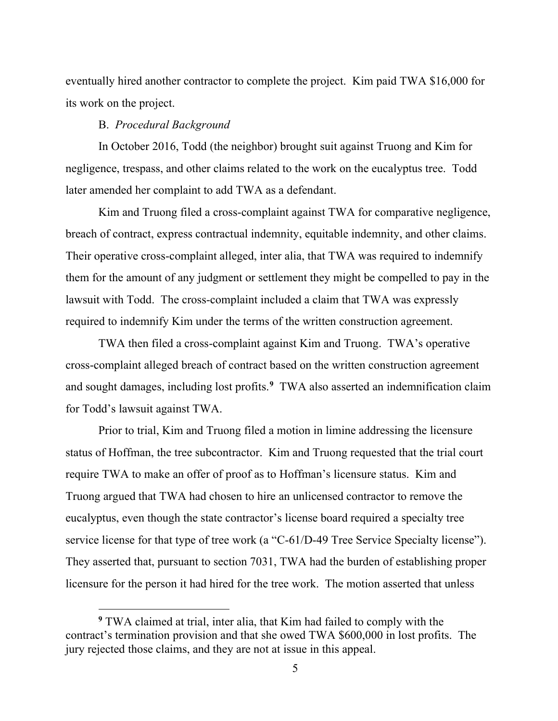eventually hired another contractor to complete the project. Kim paid TWA \$16,000 for its work on the project.

### B. *Procedural Background*

In October 2016, Todd (the neighbor) brought suit against Truong and Kim for negligence, trespass, and other claims related to the work on the eucalyptus tree. Todd later amended her complaint to add TWA as a defendant.

Kim and Truong filed a cross-complaint against TWA for comparative negligence, breach of contract, express contractual indemnity, equitable indemnity, and other claims. Their operative cross-complaint alleged, inter alia, that TWA was required to indemnify them for the amount of any judgment or settlement they might be compelled to pay in the lawsuit with Todd. The cross-complaint included a claim that TWA was expressly required to indemnify Kim under the terms of the written construction agreement.

TWA then filed a cross-complaint against Kim and Truong. TWA's operative cross-complaint alleged breach of contract based on the written construction agreement and sought damages, including lost profits.**[9](#page-4-0)** TWA also asserted an indemnification claim for Todd's lawsuit against TWA.

Prior to trial, Kim and Truong filed a motion in limine addressing the licensure status of Hoffman, the tree subcontractor. Kim and Truong requested that the trial court require TWA to make an offer of proof as to Hoffman's licensure status. Kim and Truong argued that TWA had chosen to hire an unlicensed contractor to remove the eucalyptus, even though the state contractor's license board required a specialty tree service license for that type of tree work (a "C-61/D-49 Tree Service Specialty license"). They asserted that, pursuant to section 7031, TWA had the burden of establishing proper licensure for the person it had hired for the tree work. The motion asserted that unless

<span id="page-4-0"></span>**<sup>9</sup>** TWA claimed at trial, inter alia, that Kim had failed to comply with the contract's termination provision and that she owed TWA \$600,000 in lost profits. The jury rejected those claims, and they are not at issue in this appeal.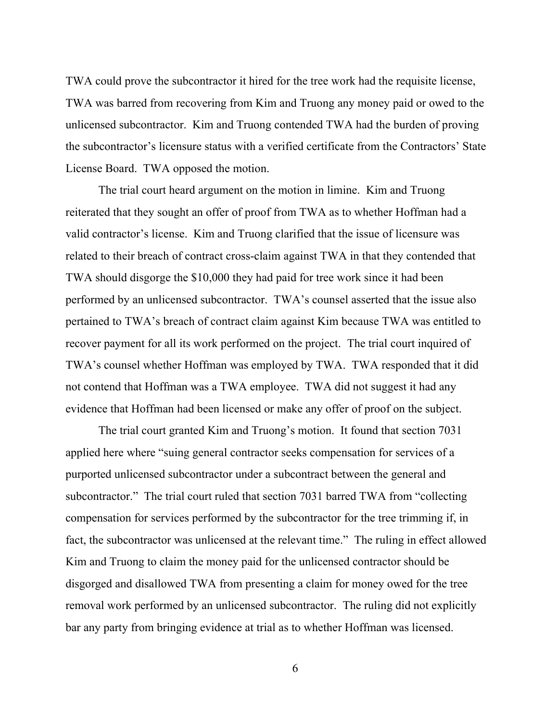TWA could prove the subcontractor it hired for the tree work had the requisite license, TWA was barred from recovering from Kim and Truong any money paid or owed to the unlicensed subcontractor. Kim and Truong contended TWA had the burden of proving the subcontractor's licensure status with a verified certificate from the Contractors' State License Board. TWA opposed the motion.

The trial court heard argument on the motion in limine. Kim and Truong reiterated that they sought an offer of proof from TWA as to whether Hoffman had a valid contractor's license. Kim and Truong clarified that the issue of licensure was related to their breach of contract cross-claim against TWA in that they contended that TWA should disgorge the \$10,000 they had paid for tree work since it had been performed by an unlicensed subcontractor. TWA's counsel asserted that the issue also pertained to TWA's breach of contract claim against Kim because TWA was entitled to recover payment for all its work performed on the project. The trial court inquired of TWA's counsel whether Hoffman was employed by TWA. TWA responded that it did not contend that Hoffman was a TWA employee. TWA did not suggest it had any evidence that Hoffman had been licensed or make any offer of proof on the subject.

The trial court granted Kim and Truong's motion. It found that section 7031 applied here where "suing general contractor seeks compensation for services of a purported unlicensed subcontractor under a subcontract between the general and subcontractor." The trial court ruled that section 7031 barred TWA from "collecting compensation for services performed by the subcontractor for the tree trimming if, in fact, the subcontractor was unlicensed at the relevant time." The ruling in effect allowed Kim and Truong to claim the money paid for the unlicensed contractor should be disgorged and disallowed TWA from presenting a claim for money owed for the tree removal work performed by an unlicensed subcontractor. The ruling did not explicitly bar any party from bringing evidence at trial as to whether Hoffman was licensed.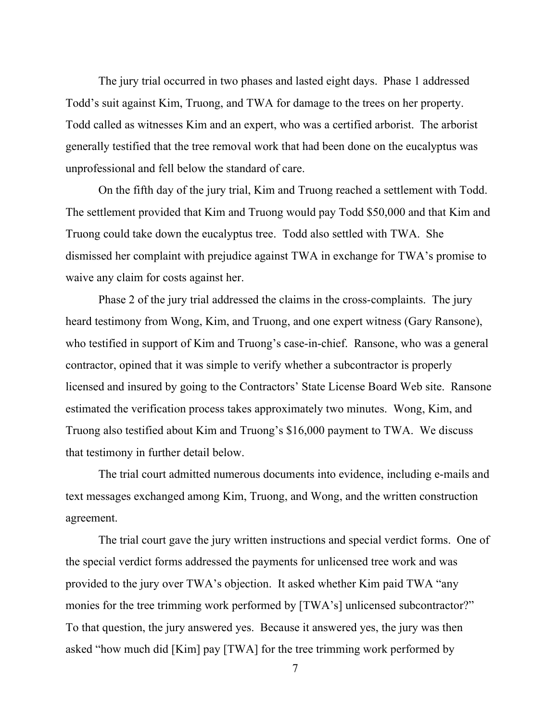The jury trial occurred in two phases and lasted eight days. Phase 1 addressed Todd's suit against Kim, Truong, and TWA for damage to the trees on her property. Todd called as witnesses Kim and an expert, who was a certified arborist. The arborist generally testified that the tree removal work that had been done on the eucalyptus was unprofessional and fell below the standard of care.

On the fifth day of the jury trial, Kim and Truong reached a settlement with Todd. The settlement provided that Kim and Truong would pay Todd \$50,000 and that Kim and Truong could take down the eucalyptus tree. Todd also settled with TWA. She dismissed her complaint with prejudice against TWA in exchange for TWA's promise to waive any claim for costs against her.

Phase 2 of the jury trial addressed the claims in the cross-complaints. The jury heard testimony from Wong, Kim, and Truong, and one expert witness (Gary Ransone), who testified in support of Kim and Truong's case-in-chief. Ransone, who was a general contractor, opined that it was simple to verify whether a subcontractor is properly licensed and insured by going to the Contractors' State License Board Web site. Ransone estimated the verification process takes approximately two minutes. Wong, Kim, and Truong also testified about Kim and Truong's \$16,000 payment to TWA. We discuss that testimony in further detail below.

The trial court admitted numerous documents into evidence, including e-mails and text messages exchanged among Kim, Truong, and Wong, and the written construction agreement.

The trial court gave the jury written instructions and special verdict forms. One of the special verdict forms addressed the payments for unlicensed tree work and was provided to the jury over TWA's objection. It asked whether Kim paid TWA "any monies for the tree trimming work performed by [TWA's] unlicensed subcontractor?" To that question, the jury answered yes. Because it answered yes, the jury was then asked "how much did [Kim] pay [TWA] for the tree trimming work performed by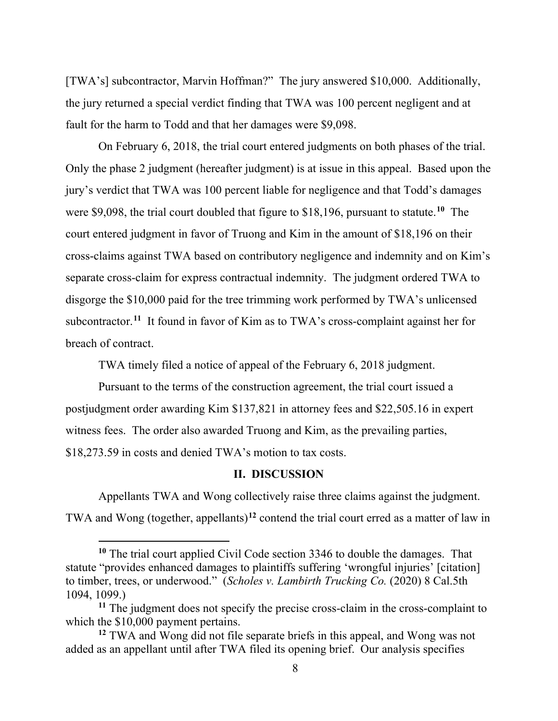[TWA's] subcontractor, Marvin Hoffman?" The jury answered \$10,000. Additionally, the jury returned a special verdict finding that TWA was 100 percent negligent and at fault for the harm to Todd and that her damages were \$9,098.

On February 6, 2018, the trial court entered judgments on both phases of the trial. Only the phase 2 judgment (hereafter judgment) is at issue in this appeal. Based upon the jury's verdict that TWA was 100 percent liable for negligence and that Todd's damages were \$9,098, the trial court doubled that figure to \$18,196, pursuant to statute. **[10](#page-7-0)** The court entered judgment in favor of Truong and Kim in the amount of \$18,196 on their cross-claims against TWA based on contributory negligence and indemnity and on Kim's separate cross-claim for express contractual indemnity. The judgment ordered TWA to disgorge the \$10,000 paid for the tree trimming work performed by TWA's unlicensed subcontractor.<sup>[11](#page-7-1)</sup> It found in favor of Kim as to TWA's cross-complaint against her for breach of contract.

TWA timely filed a notice of appeal of the February 6, 2018 judgment.

Pursuant to the terms of the construction agreement, the trial court issued a postjudgment order awarding Kim \$137,821 in attorney fees and \$22,505.16 in expert witness fees. The order also awarded Truong and Kim, as the prevailing parties, \$18,273.59 in costs and denied TWA's motion to tax costs.

#### **II. DISCUSSION**

Appellants TWA and Wong collectively raise three claims against the judgment. TWA and Wong (together, appellants)**[12](#page-7-2)** contend the trial court erred as a matter of law in

<span id="page-7-0"></span>**<sup>10</sup>** The trial court applied Civil Code section 3346 to double the damages. That statute "provides enhanced damages to plaintiffs suffering 'wrongful injuries' [citation] to timber, trees, or underwood." (*Scholes v. Lambirth Trucking Co.* (2020) 8 Cal.5th 1094, 1099.)

<span id="page-7-1"></span>**<sup>11</sup>** The judgment does not specify the precise cross-claim in the cross-complaint to which the \$10,000 payment pertains.

<span id="page-7-2"></span>**<sup>12</sup>** TWA and Wong did not file separate briefs in this appeal, and Wong was not added as an appellant until after TWA filed its opening brief. Our analysis specifies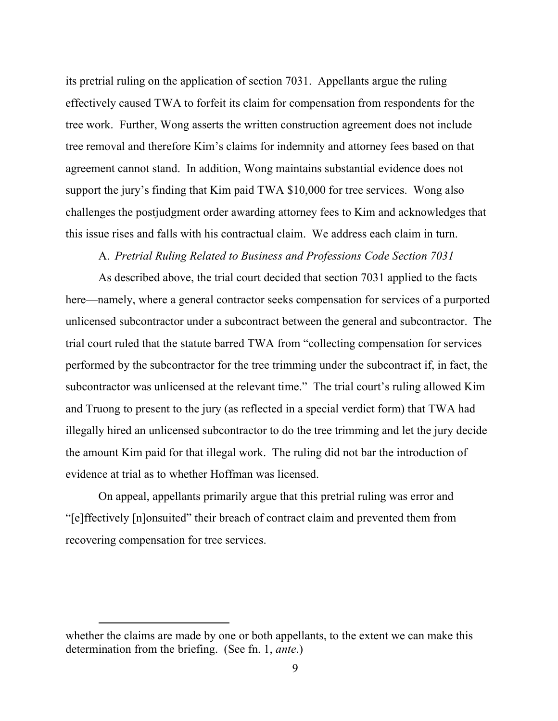its pretrial ruling on the application of section 7031. Appellants argue the ruling effectively caused TWA to forfeit its claim for compensation from respondents for the tree work. Further, Wong asserts the written construction agreement does not include tree removal and therefore Kim's claims for indemnity and attorney fees based on that agreement cannot stand. In addition, Wong maintains substantial evidence does not support the jury's finding that Kim paid TWA \$10,000 for tree services. Wong also challenges the postjudgment order awarding attorney fees to Kim and acknowledges that this issue rises and falls with his contractual claim. We address each claim in turn.

# A. *Pretrial Ruling Related to Business and Professions Code Section 7031*

As described above, the trial court decided that section 7031 applied to the facts here—namely, where a general contractor seeks compensation for services of a purported unlicensed subcontractor under a subcontract between the general and subcontractor. The trial court ruled that the statute barred TWA from "collecting compensation for services performed by the subcontractor for the tree trimming under the subcontract if, in fact, the subcontractor was unlicensed at the relevant time." The trial court's ruling allowed Kim and Truong to present to the jury (as reflected in a special verdict form) that TWA had illegally hired an unlicensed subcontractor to do the tree trimming and let the jury decide the amount Kim paid for that illegal work. The ruling did not bar the introduction of evidence at trial as to whether Hoffman was licensed.

On appeal, appellants primarily argue that this pretrial ruling was error and "[e]ffectively [n]onsuited" their breach of contract claim and prevented them from recovering compensation for tree services.

whether the claims are made by one or both appellants, to the extent we can make this determination from the briefing. (See fn. 1, *ante*.)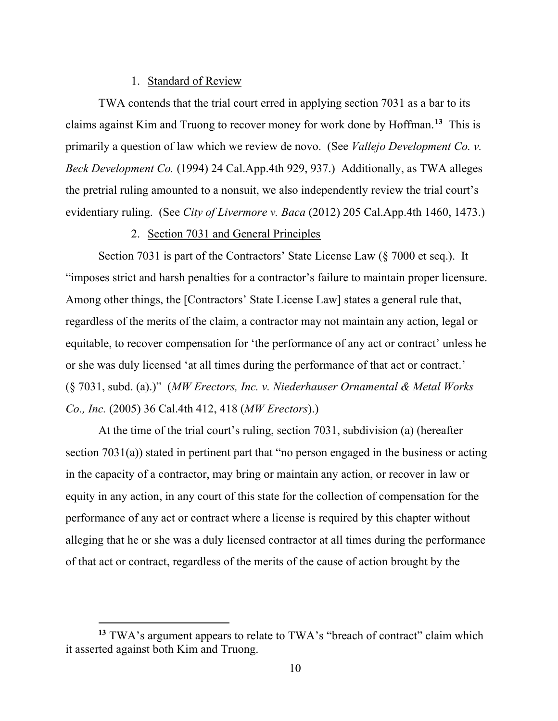### 1. Standard of Review

TWA contends that the trial court erred in applying section 7031 as a bar to its claims against Kim and Truong to recover money for work done by Hoffman. **[13](#page-9-0)** This is primarily a question of law which we review de novo. (See *Vallejo Development Co. v. Beck Development Co.* (1994) 24 Cal.App.4th 929, 937.) Additionally, as TWA alleges the pretrial ruling amounted to a nonsuit, we also independently review the trial court's evidentiary ruling. (See *City of Livermore v. Baca* (2012) 205 Cal.App.4th 1460, 1473.)

# 2. Section 7031 and General Principles

Section 7031 is part of the Contractors' State License Law (§ 7000 et seq.). It "imposes strict and harsh penalties for a contractor's failure to maintain proper licensure. Among other things, the [Contractors' State License Law] states a general rule that, regardless of the merits of the claim, a contractor may not maintain any action, legal or equitable, to recover compensation for 'the performance of any act or contract' unless he or she was duly licensed 'at all times during the performance of that act or contract.' (§ 7031, subd. (a).)" (*MW Erectors, Inc. v. Niederhauser Ornamental & Metal Works Co., Inc.* (2005) 36 Cal.4th 412, 418 (*MW Erectors*).)

At the time of the trial court's ruling, section 7031, subdivision (a) (hereafter section 7031(a)) stated in pertinent part that "no person engaged in the business or acting in the capacity of a contractor, may bring or maintain any action, or recover in law or equity in any action, in any court of this state for the collection of compensation for the performance of any act or contract where a license is required by this chapter without alleging that he or she was a duly licensed contractor at all times during the performance of that act or contract, regardless of the merits of the cause of action brought by the

<span id="page-9-0"></span>**<sup>13</sup>** TWA's argument appears to relate to TWA's "breach of contract" claim which it asserted against both Kim and Truong.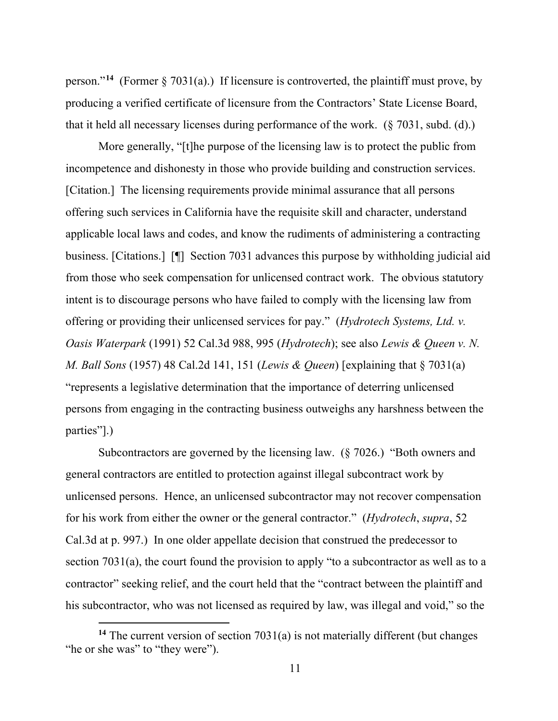person."<sup>[14](#page-10-0)</sup> (Former  $\S 7031(a)$ .) If licensure is controverted, the plaintiff must prove, by producing a verified certificate of licensure from the Contractors' State License Board, that it held all necessary licenses during performance of the work. (§ 7031, subd. (d).)

More generally, "[t]he purpose of the licensing law is to protect the public from incompetence and dishonesty in those who provide building and construction services. [Citation.] The licensing requirements provide minimal assurance that all persons offering such services in California have the requisite skill and character, understand applicable local laws and codes, and know the rudiments of administering a contracting business. [Citations.] [¶] Section 7031 advances this purpose by withholding judicial aid from those who seek compensation for unlicensed contract work. The obvious statutory intent is to discourage persons who have failed to comply with the licensing law from offering or providing their unlicensed services for pay." (*Hydrotech Systems, Ltd. v. Oasis Waterpark* (1991) 52 Cal.3d 988, 995 (*Hydrotech*); see also *Lewis & Queen v. N. M. Ball Sons* (1957) 48 Cal.2d 141, 151 (*Lewis & Queen*) [explaining that § 7031(a) "represents a legislative determination that the importance of deterring unlicensed persons from engaging in the contracting business outweighs any harshness between the parties"].)

Subcontractors are governed by the licensing law. (§ 7026.) "Both owners and general contractors are entitled to protection against illegal subcontract work by unlicensed persons. Hence, an unlicensed subcontractor may not recover compensation for his work from either the owner or the general contractor." (*Hydrotech*, *supra*, 52 Cal.3d at p. 997.) In one older appellate decision that construed the predecessor to section 7031(a), the court found the provision to apply "to a subcontractor as well as to a contractor" seeking relief, and the court held that the "contract between the plaintiff and his subcontractor, who was not licensed as required by law, was illegal and void," so the

<span id="page-10-0"></span>**<sup>14</sup>** The current version of section 7031(a) is not materially different (but changes "he or she was" to "they were").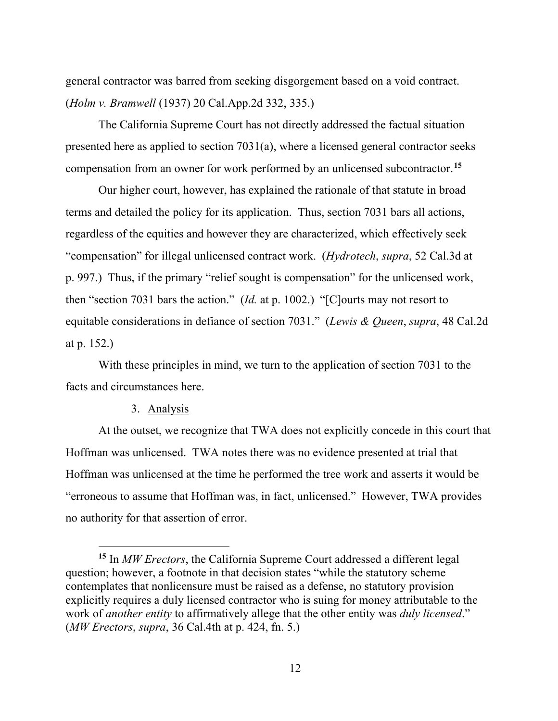general contractor was barred from seeking disgorgement based on a void contract. (*Holm v. Bramwell* (1937) 20 Cal.App.2d 332, 335.)

The California Supreme Court has not directly addressed the factual situation presented here as applied to section 7031(a), where a licensed general contractor seeks compensation from an owner for work performed by an unlicensed subcontractor.**[15](#page-11-0)**

Our higher court, however, has explained the rationale of that statute in broad terms and detailed the policy for its application. Thus, section 7031 bars all actions, regardless of the equities and however they are characterized, which effectively seek "compensation" for illegal unlicensed contract work. (*Hydrotech*, *supra*, 52 Cal.3d at p. 997.) Thus, if the primary "relief sought is compensation" for the unlicensed work, then "section 7031 bars the action." (*Id.* at p. 1002.) "[C]ourts may not resort to equitable considerations in defiance of section 7031." (*Lewis & Queen*, *supra*, 48 Cal.2d at p. 152.)

With these principles in mind, we turn to the application of section 7031 to the facts and circumstances here.

# 3. Analysis

At the outset, we recognize that TWA does not explicitly concede in this court that Hoffman was unlicensed. TWA notes there was no evidence presented at trial that Hoffman was unlicensed at the time he performed the tree work and asserts it would be "erroneous to assume that Hoffman was, in fact, unlicensed." However, TWA provides no authority for that assertion of error.

<span id="page-11-0"></span>**<sup>15</sup>** In *MW Erectors*, the California Supreme Court addressed a different legal question; however, a footnote in that decision states "while the statutory scheme contemplates that nonlicensure must be raised as a defense, no statutory provision explicitly requires a duly licensed contractor who is suing for money attributable to the work of *another entity* to affirmatively allege that the other entity was *duly licensed*." (*MW Erectors*, *supra*, 36 Cal.4th at p. 424, fn. 5.)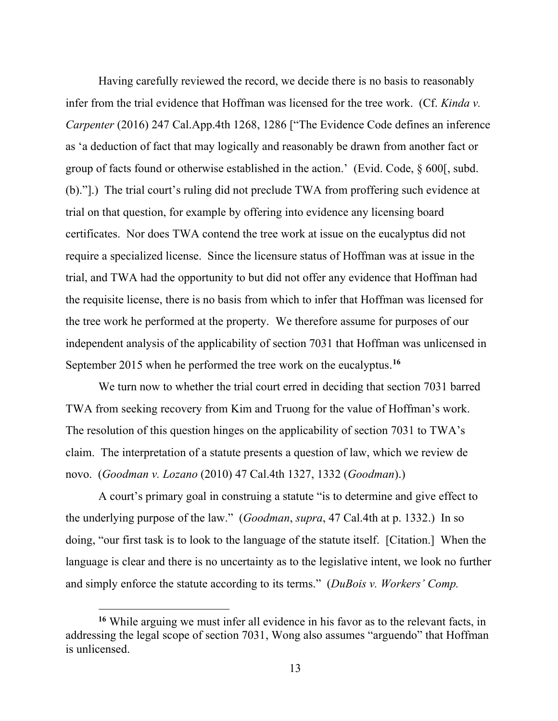Having carefully reviewed the record, we decide there is no basis to reasonably infer from the trial evidence that Hoffman was licensed for the tree work. (Cf. *Kinda v. Carpenter* (2016) 247 Cal.App.4th 1268, 1286 ["The Evidence Code defines an inference as 'a deduction of fact that may logically and reasonably be drawn from another fact or group of facts found or otherwise established in the action.' (Evid. Code, § 600[, subd. (b)."].) The trial court's ruling did not preclude TWA from proffering such evidence at trial on that question, for example by offering into evidence any licensing board certificates. Nor does TWA contend the tree work at issue on the eucalyptus did not require a specialized license. Since the licensure status of Hoffman was at issue in the trial, and TWA had the opportunity to but did not offer any evidence that Hoffman had the requisite license, there is no basis from which to infer that Hoffman was licensed for the tree work he performed at the property. We therefore assume for purposes of our independent analysis of the applicability of section 7031 that Hoffman was unlicensed in September 2015 when he performed the tree work on the eucalyptus. **[16](#page-12-0)**

We turn now to whether the trial court erred in deciding that section 7031 barred TWA from seeking recovery from Kim and Truong for the value of Hoffman's work. The resolution of this question hinges on the applicability of section 7031 to TWA's claim. The interpretation of a statute presents a question of law, which we review de novo. (*Goodman v. Lozano* (2010) 47 Cal.4th 1327, 1332 (*Goodman*).)

A court's primary goal in construing a statute "is to determine and give effect to the underlying purpose of the law." (*Goodman*, *supra*, 47 Cal.4th at p. 1332.) In so doing, "our first task is to look to the language of the statute itself. [Citation.] When the language is clear and there is no uncertainty as to the legislative intent, we look no further and simply enforce the statute according to its terms." (*DuBois v. Workers' Comp.* 

<span id="page-12-0"></span>**<sup>16</sup>** While arguing we must infer all evidence in his favor as to the relevant facts, in addressing the legal scope of section 7031, Wong also assumes "arguendo" that Hoffman is unlicensed.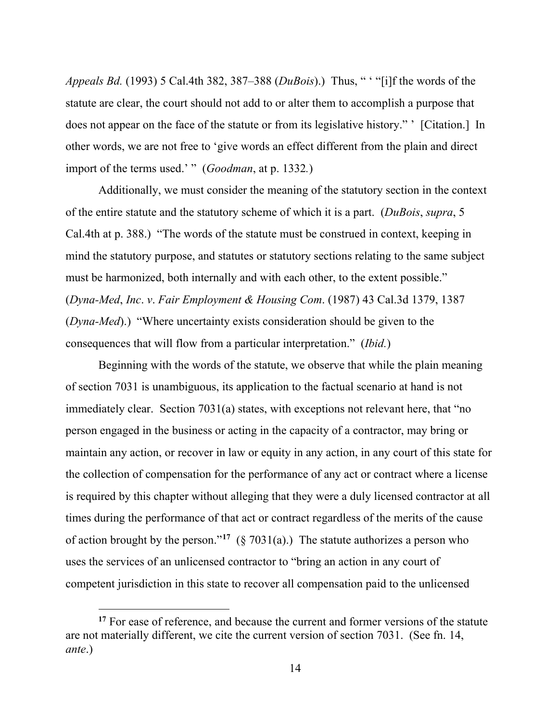*Appeals Bd.* (1993) 5 Cal.4th 382, 387–388 (*DuBois*).) Thus, " ' "[i]f the words of the statute are clear, the court should not add to or alter them to accomplish a purpose that does not appear on the face of the statute or from its legislative history." ' [Citation.] In other words, we are not free to 'give words an effect different from the plain and direct import of the terms used.' " (*Goodman*, at p. 1332*.*)

Additionally, we must consider the meaning of the statutory section in the context of the entire statute and the statutory scheme of which it is a part. (*DuBois*, *supra*, 5 Cal.4th at p. 388.) "The words of the statute must be construed in context, keeping in mind the statutory purpose, and statutes or statutory sections relating to the same subject must be harmonized, both internally and with each other, to the extent possible." (*Dyna-Med*, *Inc*. *v*. *Fair Employment & Housing Com*. (1987) 43 Cal.3d 1379, 1387 (*Dyna-Med*).) "Where uncertainty exists consideration should be given to the consequences that will flow from a particular interpretation." (*Ibid.*)

Beginning with the words of the statute, we observe that while the plain meaning of section 7031 is unambiguous, its application to the factual scenario at hand is not immediately clear. Section 7031(a) states, with exceptions not relevant here, that "no person engaged in the business or acting in the capacity of a contractor, may bring or maintain any action, or recover in law or equity in any action, in any court of this state for the collection of compensation for the performance of any act or contract where a license is required by this chapter without alleging that they were a duly licensed contractor at all times during the performance of that act or contract regardless of the merits of the cause of action brought by the person."<sup>[17](#page-13-0)</sup> (§ 7031(a).) The statute authorizes a person who uses the services of an unlicensed contractor to "bring an action in any court of competent jurisdiction in this state to recover all compensation paid to the unlicensed

<span id="page-13-0"></span><sup>&</sup>lt;sup>17</sup> For ease of reference, and because the current and former versions of the statute are not materially different, we cite the current version of section 7031. (See fn. 14, *ante*.)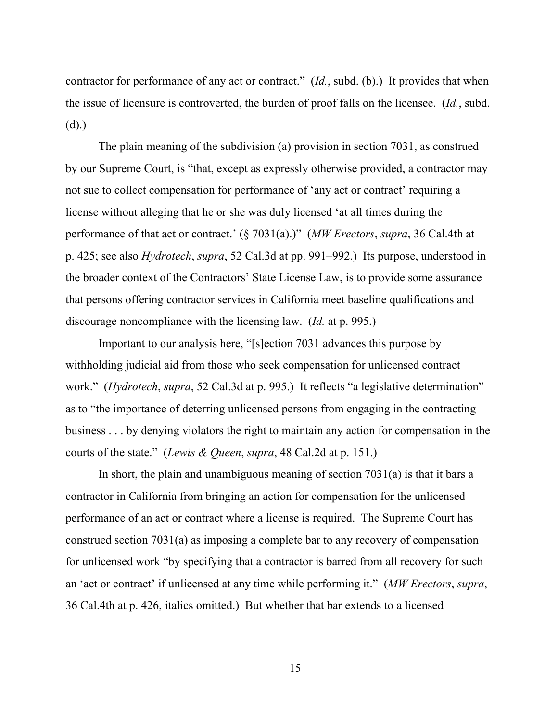contractor for performance of any act or contract." (*Id.*, subd. (b).) It provides that when the issue of licensure is controverted, the burden of proof falls on the licensee. (*Id.*, subd. (d).)

The plain meaning of the subdivision (a) provision in section 7031, as construed by our Supreme Court, is "that, except as expressly otherwise provided, a contractor may not sue to collect compensation for performance of 'any act or contract' requiring a license without alleging that he or she was duly licensed 'at all times during the performance of that act or contract.' (§ 7031(a).)" (*MW Erectors*, *supra*, 36 Cal.4th at p. 425; see also *Hydrotech*, *supra*, 52 Cal.3d at pp. 991–992.) Its purpose, understood in the broader context of the Contractors' State License Law, is to provide some assurance that persons offering contractor services in California meet baseline qualifications and discourage noncompliance with the licensing law. (*Id.* at p. 995.)

Important to our analysis here, "[s]ection 7031 advances this purpose by withholding judicial aid from those who seek compensation for unlicensed contract work." (*Hydrotech*, *supra*, 52 Cal.3d at p. 995.) It reflects "a legislative determination" as to "the importance of deterring unlicensed persons from engaging in the contracting business . . . by denying violators the right to maintain any action for compensation in the courts of the state." (*Lewis & Queen*, *supra*, 48 Cal.2d at p. 151.)

In short, the plain and unambiguous meaning of section  $7031(a)$  is that it bars a contractor in California from bringing an action for compensation for the unlicensed performance of an act or contract where a license is required. The Supreme Court has construed section 7031(a) as imposing a complete bar to any recovery of compensation for unlicensed work "by specifying that a contractor is barred from all recovery for such an 'act or contract' if unlicensed at any time while performing it." (*MW Erectors*, *supra*, 36 Cal.4th at p. 426, italics omitted.) But whether that bar extends to a licensed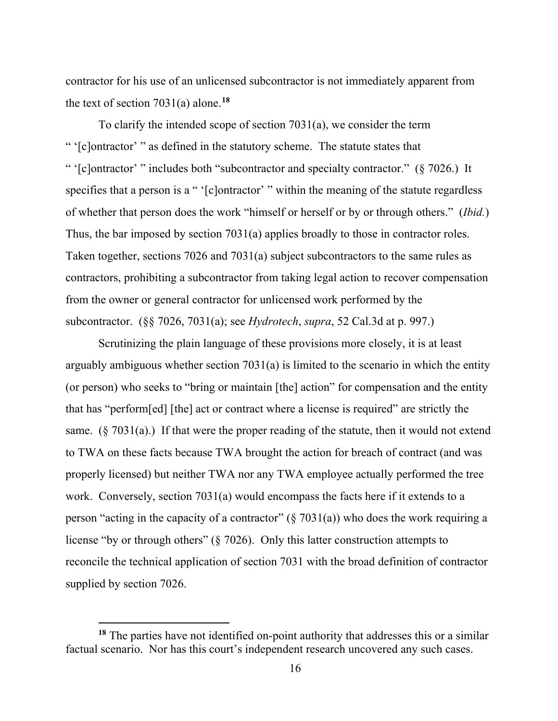contractor for his use of an unlicensed subcontractor is not immediately apparent from the text of section 7031(a) alone.**[18](#page-15-0)**

To clarify the intended scope of section 7031(a), we consider the term " '[c]ontractor' " as defined in the statutory scheme. The statute states that " '[c]ontractor' " includes both "subcontractor and specialty contractor." (§ 7026.) It specifies that a person is a " '[c]ontractor' " within the meaning of the statute regardless of whether that person does the work "himself or herself or by or through others." (*Ibid.*) Thus, the bar imposed by section 7031(a) applies broadly to those in contractor roles. Taken together, sections 7026 and 7031(a) subject subcontractors to the same rules as contractors, prohibiting a subcontractor from taking legal action to recover compensation from the owner or general contractor for unlicensed work performed by the subcontractor. (§§ 7026, 7031(a); see *Hydrotech*, *supra*, 52 Cal.3d at p. 997.)

Scrutinizing the plain language of these provisions more closely, it is at least arguably ambiguous whether section 7031(a) is limited to the scenario in which the entity (or person) who seeks to "bring or maintain [the] action" for compensation and the entity that has "perform[ed] [the] act or contract where a license is required" are strictly the same.  $(\S 7031(a))$  If that were the proper reading of the statute, then it would not extend to TWA on these facts because TWA brought the action for breach of contract (and was properly licensed) but neither TWA nor any TWA employee actually performed the tree work. Conversely, section 7031(a) would encompass the facts here if it extends to a person "acting in the capacity of a contractor"  $(\S 7031(a))$  who does the work requiring a license "by or through others" (§ 7026). Only this latter construction attempts to reconcile the technical application of section 7031 with the broad definition of contractor supplied by section 7026.

<span id="page-15-0"></span>**<sup>18</sup>** The parties have not identified on-point authority that addresses this or a similar factual scenario. Nor has this court's independent research uncovered any such cases.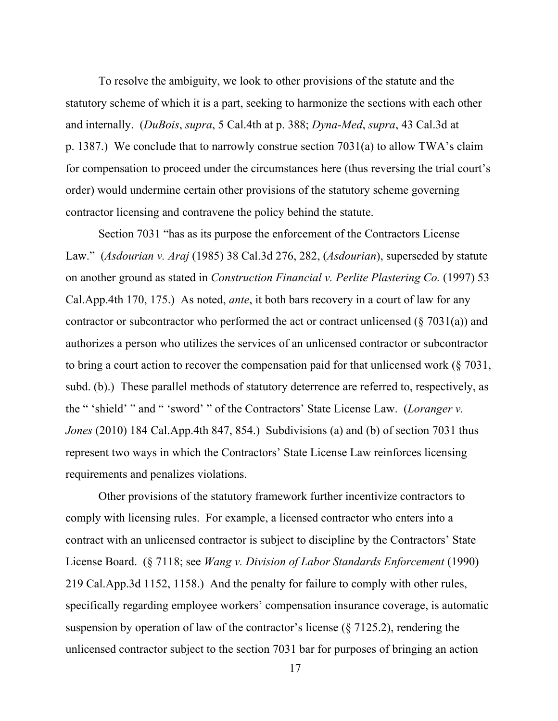To resolve the ambiguity, we look to other provisions of the statute and the statutory scheme of which it is a part, seeking to harmonize the sections with each other and internally. (*DuBois*, *supra*, 5 Cal.4th at p. 388; *Dyna-Med*, *supra*, 43 Cal.3d at p. 1387.) We conclude that to narrowly construe section 7031(a) to allow TWA's claim for compensation to proceed under the circumstances here (thus reversing the trial court's order) would undermine certain other provisions of the statutory scheme governing contractor licensing and contravene the policy behind the statute.

Section 7031 "has as its purpose the enforcement of the Contractors License Law." (*Asdourian v. Araj* (1985) 38 Cal.3d 276, 282, (*Asdourian*), superseded by statute on another ground as stated in *Construction Financial v. Perlite Plastering Co.* (1997) 53 Cal.App.4th 170, 175.) As noted, *ante*, it both bars recovery in a court of law for any contractor or subcontractor who performed the act or contract unlicensed  $(\xi 7031(a))$  and authorizes a person who utilizes the services of an unlicensed contractor or subcontractor to bring a court action to recover the compensation paid for that unlicensed work (§ 7031, subd. (b).) These parallel methods of statutory deterrence are referred to, respectively, as the " 'shield' " and " 'sword' " of the Contractors' State License Law. (*Loranger v. Jones* (2010) 184 Cal.App.4th 847, 854.) Subdivisions (a) and (b) of section 7031 thus represent two ways in which the Contractors' State License Law reinforces licensing requirements and penalizes violations.

Other provisions of the statutory framework further incentivize contractors to comply with licensing rules. For example, a licensed contractor who enters into a contract with an unlicensed contractor is subject to discipline by the Contractors' State License Board. (§ 7118; see *Wang v. Division of Labor Standards Enforcement* (1990) 219 Cal.App.3d 1152, 1158.) And the penalty for failure to comply with other rules, specifically regarding employee workers' compensation insurance coverage, is automatic suspension by operation of law of the contractor's license (§ 7125.2), rendering the unlicensed contractor subject to the section 7031 bar for purposes of bringing an action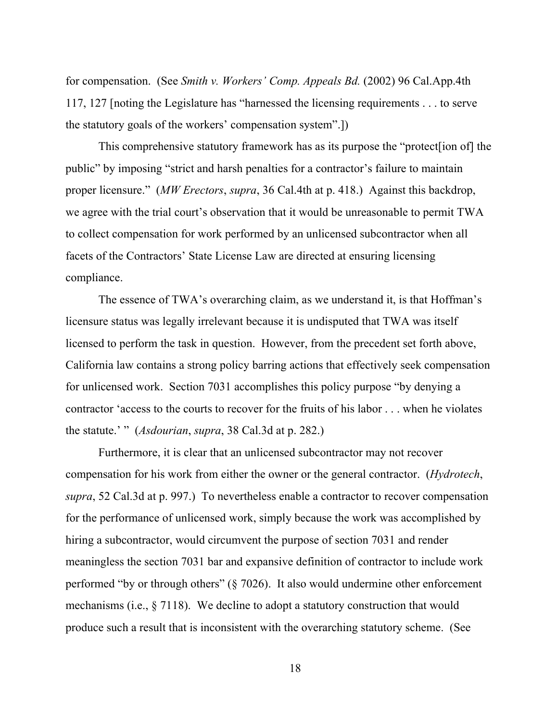for compensation. (See *Smith v. Workers' Comp. Appeals Bd.* (2002) 96 Cal.App.4th 117, 127 [noting the Legislature has "harnessed the licensing requirements . . . to serve the statutory goals of the workers' compensation system".])

This comprehensive statutory framework has as its purpose the "protect[ion of] the public" by imposing "strict and harsh penalties for a contractor's failure to maintain proper licensure." (*MW Erectors*, *supra*, 36 Cal.4th at p. 418.) Against this backdrop, we agree with the trial court's observation that it would be unreasonable to permit TWA to collect compensation for work performed by an unlicensed subcontractor when all facets of the Contractors' State License Law are directed at ensuring licensing compliance.

The essence of TWA's overarching claim, as we understand it, is that Hoffman's licensure status was legally irrelevant because it is undisputed that TWA was itself licensed to perform the task in question. However, from the precedent set forth above, California law contains a strong policy barring actions that effectively seek compensation for unlicensed work. Section 7031 accomplishes this policy purpose "by denying a contractor 'access to the courts to recover for the fruits of his labor . . . when he violates the statute.' " (*Asdourian*, *supra*, 38 Cal.3d at p. 282.)

Furthermore, it is clear that an unlicensed subcontractor may not recover compensation for his work from either the owner or the general contractor. (*Hydrotech*, *supra*, 52 Cal.3d at p. 997.) To nevertheless enable a contractor to recover compensation for the performance of unlicensed work, simply because the work was accomplished by hiring a subcontractor, would circumvent the purpose of section 7031 and render meaningless the section 7031 bar and expansive definition of contractor to include work performed "by or through others" (§ 7026). It also would undermine other enforcement mechanisms (i.e., § 7118). We decline to adopt a statutory construction that would produce such a result that is inconsistent with the overarching statutory scheme. (See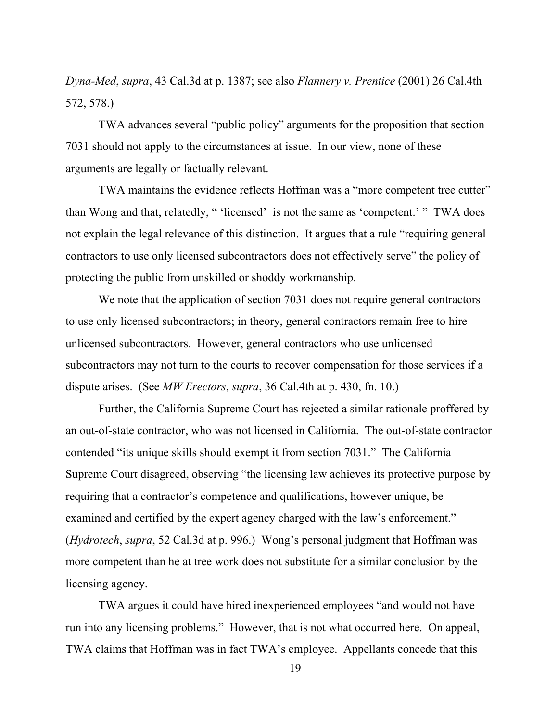*Dyna-Med*, *supra*, 43 Cal.3d at p. 1387; see also *Flannery v. Prentice* (2001) 26 Cal.4th 572, 578.)

TWA advances several "public policy" arguments for the proposition that section 7031 should not apply to the circumstances at issue. In our view, none of these arguments are legally or factually relevant.

TWA maintains the evidence reflects Hoffman was a "more competent tree cutter" than Wong and that, relatedly, " 'licensed' is not the same as 'competent.' " TWA does not explain the legal relevance of this distinction. It argues that a rule "requiring general contractors to use only licensed subcontractors does not effectively serve" the policy of protecting the public from unskilled or shoddy workmanship.

We note that the application of section 7031 does not require general contractors to use only licensed subcontractors; in theory, general contractors remain free to hire unlicensed subcontractors. However, general contractors who use unlicensed subcontractors may not turn to the courts to recover compensation for those services if a dispute arises. (See *MW Erectors*, *supra*, 36 Cal.4th at p. 430, fn. 10.)

Further, the California Supreme Court has rejected a similar rationale proffered by an out-of-state contractor, who was not licensed in California. The out-of-state contractor contended "its unique skills should exempt it from section 7031." The California Supreme Court disagreed, observing "the licensing law achieves its protective purpose by requiring that a contractor's competence and qualifications, however unique, be examined and certified by the expert agency charged with the law's enforcement." (*Hydrotech*, *supra*, 52 Cal.3d at p. 996.) Wong's personal judgment that Hoffman was more competent than he at tree work does not substitute for a similar conclusion by the licensing agency.

TWA argues it could have hired inexperienced employees "and would not have run into any licensing problems." However, that is not what occurred here. On appeal, TWA claims that Hoffman was in fact TWA's employee. Appellants concede that this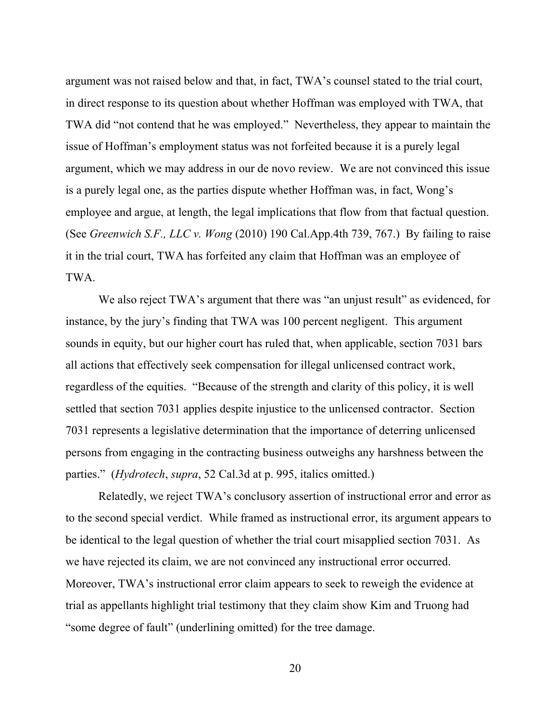argument was not raised below and that, in fact, TWA's counsel stated to the trial court, in direct response to its question about whether Hoffman was employed with TWA, that TWA did "not contend that he was employed." Nevertheless, they appear to maintain the issue of Hoffman's employment status was not forfeited because it is a purely legal argument, which we may address in our de novo review. We are not convinced this issue is a purely legal one, as the parties dispute whether Hoffman was, in fact, Wong's employee and argue, at length, the legal implications that flow from that factual question. (See *Greenwich S.F., LLC v. Wong* (2010) 190 Cal.App.4th 739, 767.) By failing to raise it in the trial court, TWA has forfeited any claim that Hoffman was an employee of TWA.

We also reject TWA's argument that there was "an unjust result" as evidenced, for instance, by the jury's finding that TWA was 100 percent negligent. This argument sounds in equity, but our higher court has ruled that, when applicable, section 7031 bars all actions that effectively seek compensation for illegal unlicensed contract work, regardless of the equities. "Because of the strength and clarity of this policy, it is well settled that section 7031 applies despite injustice to the unlicensed contractor. Section 7031 represents a legislative determination that the importance of deterring unlicensed persons from engaging in the contracting business outweighs any harshness between the parties." (*Hydrotech*, *supra*, 52 Cal.3d at p. 995, italics omitted.)

Relatedly, we reject TWA's conclusory assertion of instructional error and error as to the second special verdict. While framed as instructional error, its argument appears to be identical to the legal question of whether the trial court misapplied section 7031. As we have rejected its claim, we are not convinced any instructional error occurred. Moreover, TWA's instructional error claim appears to seek to reweigh the evidence at trial as appellants highlight trial testimony that they claim show Kim and Truong had "some degree of fault" (underlining omitted) for the tree damage.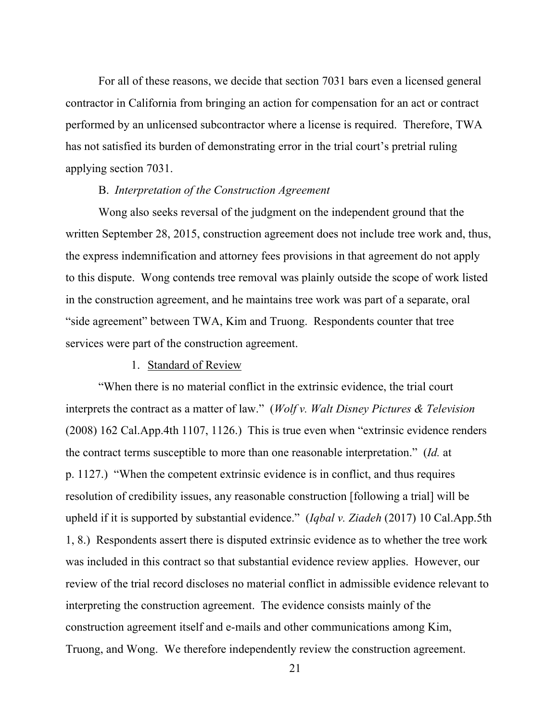For all of these reasons, we decide that section 7031 bars even a licensed general contractor in California from bringing an action for compensation for an act or contract performed by an unlicensed subcontractor where a license is required. Therefore, TWA has not satisfied its burden of demonstrating error in the trial court's pretrial ruling applying section 7031.

## B. *Interpretation of the Construction Agreement*

Wong also seeks reversal of the judgment on the independent ground that the written September 28, 2015, construction agreement does not include tree work and, thus, the express indemnification and attorney fees provisions in that agreement do not apply to this dispute. Wong contends tree removal was plainly outside the scope of work listed in the construction agreement, and he maintains tree work was part of a separate, oral "side agreement" between TWA, Kim and Truong. Respondents counter that tree services were part of the construction agreement.

### 1. Standard of Review

"When there is no material conflict in the extrinsic evidence, the trial court interprets the contract as a matter of law." (*Wolf v. Walt Disney Pictures & Television* (2008) 162 Cal.App.4th 1107, 1126.) This is true even when "extrinsic evidence renders the contract terms susceptible to more than one reasonable interpretation." (*Id.* at p. 1127.) "When the competent extrinsic evidence is in conflict, and thus requires resolution of credibility issues, any reasonable construction [following a trial] will be upheld if it is supported by substantial evidence." (*Iqbal v. Ziadeh* (2017) 10 Cal.App.5th 1, 8.) Respondents assert there is disputed extrinsic evidence as to whether the tree work was included in this contract so that substantial evidence review applies. However, our review of the trial record discloses no material conflict in admissible evidence relevant to interpreting the construction agreement. The evidence consists mainly of the construction agreement itself and e-mails and other communications among Kim, Truong, and Wong. We therefore independently review the construction agreement.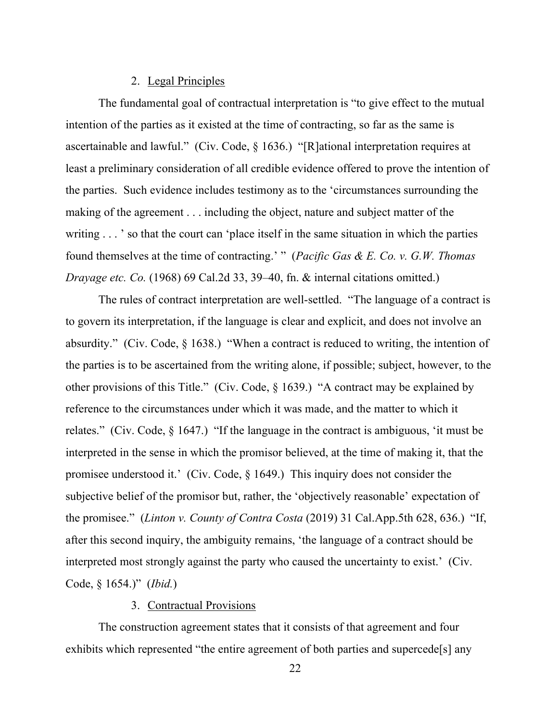### 2. Legal Principles

The fundamental goal of contractual interpretation is "to give effect to the mutual intention of the parties as it existed at the time of contracting, so far as the same is ascertainable and lawful." (Civ. Code, § 1636.) "[R]ational interpretation requires at least a preliminary consideration of all credible evidence offered to prove the intention of the parties. Such evidence includes testimony as to the 'circumstances surrounding the making of the agreement . . . including the object, nature and subject matter of the writing . . . ' so that the court can 'place itself in the same situation in which the parties found themselves at the time of contracting.' " (*Pacific Gas & E. Co. v. G.W. Thomas Drayage etc. Co.* (1968) 69 Cal.2d 33, 39–40, fn. & internal citations omitted.)

The rules of contract interpretation are well-settled. "The language of a contract is to govern its interpretation, if the language is clear and explicit, and does not involve an absurdity." (Civ. Code, § 1638.) "When a contract is reduced to writing, the intention of the parties is to be ascertained from the writing alone, if possible; subject, however, to the other provisions of this Title." (Civ. Code, § 1639.) "A contract may be explained by reference to the circumstances under which it was made, and the matter to which it relates." (Civ. Code, § 1647.) "If the language in the contract is ambiguous, 'it must be interpreted in the sense in which the promisor believed, at the time of making it, that the promisee understood it.' (Civ. Code, § 1649.) This inquiry does not consider the subjective belief of the promisor but, rather, the 'objectively reasonable' expectation of the promisee." (*Linton v. County of Contra Costa* (2019) 31 Cal.App.5th 628, 636.) "If, after this second inquiry, the ambiguity remains, 'the language of a contract should be interpreted most strongly against the party who caused the uncertainty to exist.' (Civ. Code, § 1654.)" (*Ibid.*)

### 3. Contractual Provisions

The construction agreement states that it consists of that agreement and four exhibits which represented "the entire agreement of both parties and supercede[s] any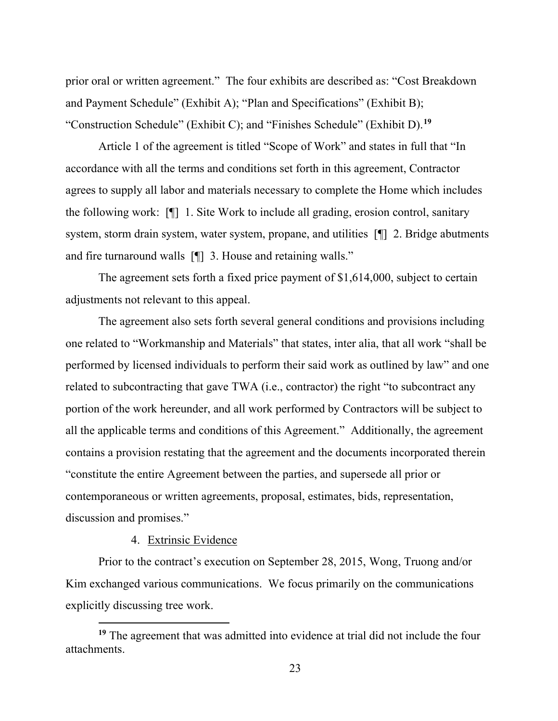prior oral or written agreement." The four exhibits are described as: "Cost Breakdown and Payment Schedule" (Exhibit A); "Plan and Specifications" (Exhibit B); "Construction Schedule" (Exhibit C); and "Finishes Schedule" (Exhibit D).**[19](#page-22-0)**

Article 1 of the agreement is titled "Scope of Work" and states in full that "In accordance with all the terms and conditions set forth in this agreement, Contractor agrees to supply all labor and materials necessary to complete the Home which includes the following work: [¶] 1. Site Work to include all grading, erosion control, sanitary system, storm drain system, water system, propane, and utilities [¶] 2. Bridge abutments and fire turnaround walls [¶] 3. House and retaining walls."

The agreement sets forth a fixed price payment of \$1,614,000, subject to certain adjustments not relevant to this appeal.

The agreement also sets forth several general conditions and provisions including one related to "Workmanship and Materials" that states, inter alia, that all work "shall be performed by licensed individuals to perform their said work as outlined by law" and one related to subcontracting that gave TWA (i.e., contractor) the right "to subcontract any portion of the work hereunder, and all work performed by Contractors will be subject to all the applicable terms and conditions of this Agreement." Additionally, the agreement contains a provision restating that the agreement and the documents incorporated therein "constitute the entire Agreement between the parties, and supersede all prior or contemporaneous or written agreements, proposal, estimates, bids, representation, discussion and promises."

### 4. Extrinsic Evidence

Prior to the contract's execution on September 28, 2015, Wong, Truong and/or Kim exchanged various communications. We focus primarily on the communications explicitly discussing tree work.

<span id="page-22-0"></span>**<sup>19</sup>** The agreement that was admitted into evidence at trial did not include the four attachments.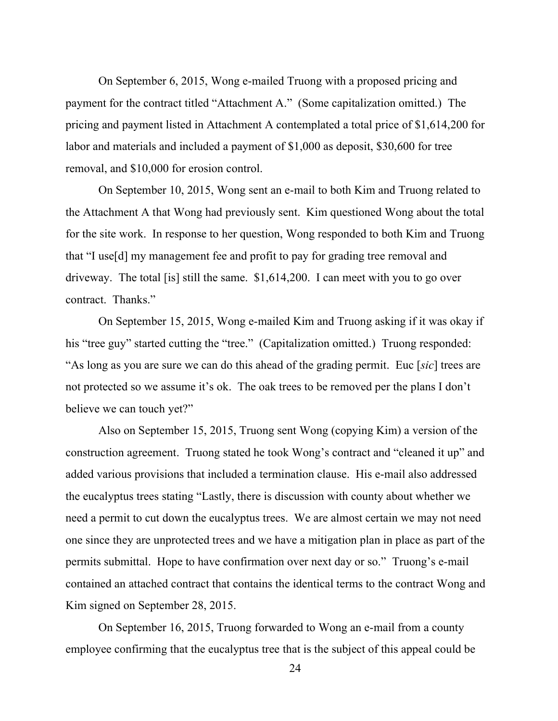On September 6, 2015, Wong e-mailed Truong with a proposed pricing and payment for the contract titled "Attachment A." (Some capitalization omitted.) The pricing and payment listed in Attachment A contemplated a total price of \$1,614,200 for labor and materials and included a payment of \$1,000 as deposit, \$30,600 for tree removal, and \$10,000 for erosion control.

On September 10, 2015, Wong sent an e-mail to both Kim and Truong related to the Attachment A that Wong had previously sent. Kim questioned Wong about the total for the site work. In response to her question, Wong responded to both Kim and Truong that "I use[d] my management fee and profit to pay for grading tree removal and driveway. The total [is] still the same. \$1,614,200. I can meet with you to go over contract. Thanks."

On September 15, 2015, Wong e-mailed Kim and Truong asking if it was okay if his "tree guy" started cutting the "tree." (Capitalization omitted.) Truong responded: "As long as you are sure we can do this ahead of the grading permit. Euc [*sic*] trees are not protected so we assume it's ok. The oak trees to be removed per the plans I don't believe we can touch yet?"

Also on September 15, 2015, Truong sent Wong (copying Kim) a version of the construction agreement. Truong stated he took Wong's contract and "cleaned it up" and added various provisions that included a termination clause. His e-mail also addressed the eucalyptus trees stating "Lastly, there is discussion with county about whether we need a permit to cut down the eucalyptus trees. We are almost certain we may not need one since they are unprotected trees and we have a mitigation plan in place as part of the permits submittal. Hope to have confirmation over next day or so." Truong's e-mail contained an attached contract that contains the identical terms to the contract Wong and Kim signed on September 28, 2015.

On September 16, 2015, Truong forwarded to Wong an e-mail from a county employee confirming that the eucalyptus tree that is the subject of this appeal could be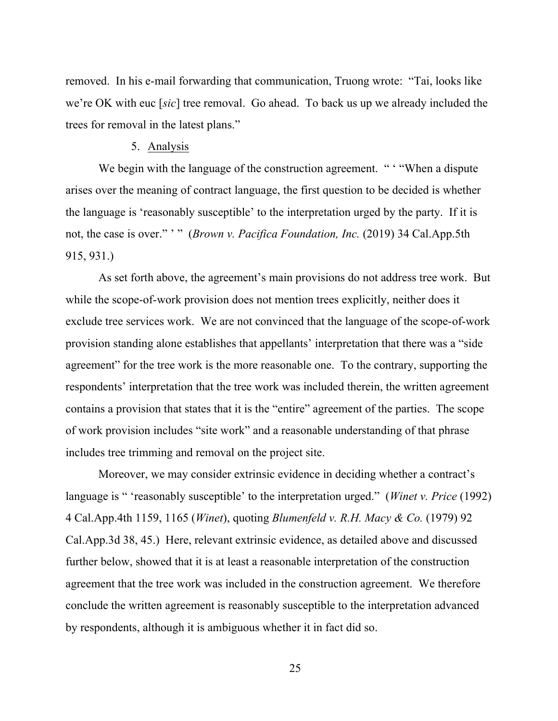removed. In his e-mail forwarding that communication, Truong wrote: "Tai, looks like we're OK with euc [*sic*] tree removal. Go ahead. To back us up we already included the trees for removal in the latest plans."

### 5. Analysis

We begin with the language of the construction agreement. " "When a dispute" arises over the meaning of contract language, the first question to be decided is whether the language is 'reasonably susceptible' to the interpretation urged by the party. If it is not, the case is over." ' " (*Brown v. Pacifica Foundation, Inc.* (2019) 34 Cal.App.5th 915, 931.)

As set forth above, the agreement's main provisions do not address tree work. But while the scope-of-work provision does not mention trees explicitly, neither does it exclude tree services work. We are not convinced that the language of the scope-of-work provision standing alone establishes that appellants' interpretation that there was a "side agreement" for the tree work is the more reasonable one. To the contrary, supporting the respondents' interpretation that the tree work was included therein, the written agreement contains a provision that states that it is the "entire" agreement of the parties. The scope of work provision includes "site work" and a reasonable understanding of that phrase includes tree trimming and removal on the project site.

Moreover, we may consider extrinsic evidence in deciding whether a contract's language is " 'reasonably susceptible' to the interpretation urged." (*Winet v. Price* (1992) 4 Cal.App.4th 1159, 1165 (*Winet*), quoting *Blumenfeld v. R.H. Macy & Co.* (1979) 92 Cal.App.3d 38, 45.) Here, relevant extrinsic evidence, as detailed above and discussed further below, showed that it is at least a reasonable interpretation of the construction agreement that the tree work was included in the construction agreement. We therefore conclude the written agreement is reasonably susceptible to the interpretation advanced by respondents, although it is ambiguous whether it in fact did so.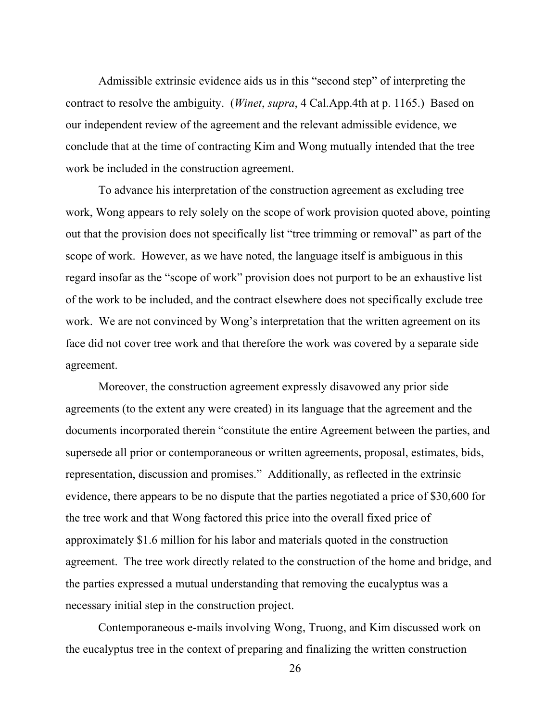Admissible extrinsic evidence aids us in this "second step" of interpreting the contract to resolve the ambiguity. (*Winet*, *supra*, 4 Cal.App.4th at p. 1165.) Based on our independent review of the agreement and the relevant admissible evidence, we conclude that at the time of contracting Kim and Wong mutually intended that the tree work be included in the construction agreement.

To advance his interpretation of the construction agreement as excluding tree work, Wong appears to rely solely on the scope of work provision quoted above, pointing out that the provision does not specifically list "tree trimming or removal" as part of the scope of work. However, as we have noted, the language itself is ambiguous in this regard insofar as the "scope of work" provision does not purport to be an exhaustive list of the work to be included, and the contract elsewhere does not specifically exclude tree work. We are not convinced by Wong's interpretation that the written agreement on its face did not cover tree work and that therefore the work was covered by a separate side agreement.

Moreover, the construction agreement expressly disavowed any prior side agreements (to the extent any were created) in its language that the agreement and the documents incorporated therein "constitute the entire Agreement between the parties, and supersede all prior or contemporaneous or written agreements, proposal, estimates, bids, representation, discussion and promises." Additionally, as reflected in the extrinsic evidence, there appears to be no dispute that the parties negotiated a price of \$30,600 for the tree work and that Wong factored this price into the overall fixed price of approximately \$1.6 million for his labor and materials quoted in the construction agreement. The tree work directly related to the construction of the home and bridge, and the parties expressed a mutual understanding that removing the eucalyptus was a necessary initial step in the construction project.

Contemporaneous e-mails involving Wong, Truong, and Kim discussed work on the eucalyptus tree in the context of preparing and finalizing the written construction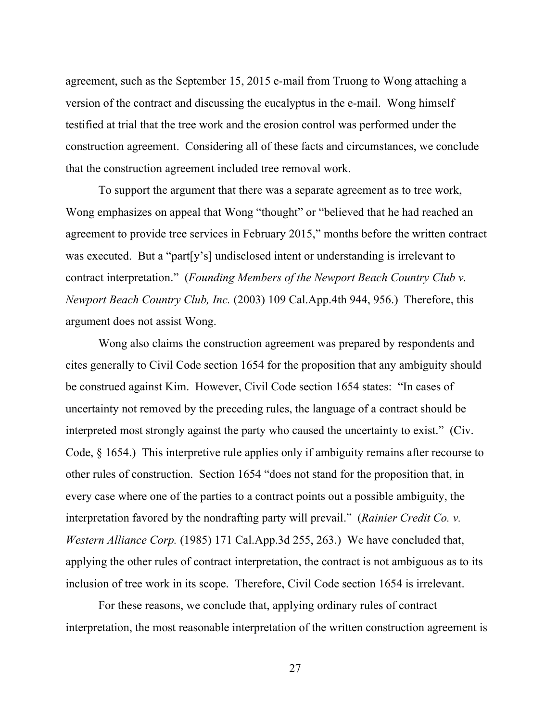agreement, such as the September 15, 2015 e-mail from Truong to Wong attaching a version of the contract and discussing the eucalyptus in the e-mail. Wong himself testified at trial that the tree work and the erosion control was performed under the construction agreement. Considering all of these facts and circumstances, we conclude that the construction agreement included tree removal work.

To support the argument that there was a separate agreement as to tree work, Wong emphasizes on appeal that Wong "thought" or "believed that he had reached an agreement to provide tree services in February 2015," months before the written contract was executed. But a "part[y's] undisclosed intent or understanding is irrelevant to contract interpretation." (*Founding Members of the Newport Beach Country Club v. Newport Beach Country Club, Inc.* (2003) 109 Cal.App.4th 944, 956.) Therefore, this argument does not assist Wong.

Wong also claims the construction agreement was prepared by respondents and cites generally to Civil Code section 1654 for the proposition that any ambiguity should be construed against Kim. However, Civil Code section 1654 states: "In cases of uncertainty not removed by the preceding rules, the language of a contract should be interpreted most strongly against the party who caused the uncertainty to exist." (Civ. Code, § 1654.) This interpretive rule applies only if ambiguity remains after recourse to other rules of construction. Section 1654 "does not stand for the proposition that, in every case where one of the parties to a contract points out a possible ambiguity, the interpretation favored by the nondrafting party will prevail." (*Rainier Credit Co. v. Western Alliance Corp.* (1985) 171 Cal.App.3d 255, 263.) We have concluded that, applying the other rules of contract interpretation, the contract is not ambiguous as to its inclusion of tree work in its scope. Therefore, Civil Code section 1654 is irrelevant.

For these reasons, we conclude that, applying ordinary rules of contract interpretation, the most reasonable interpretation of the written construction agreement is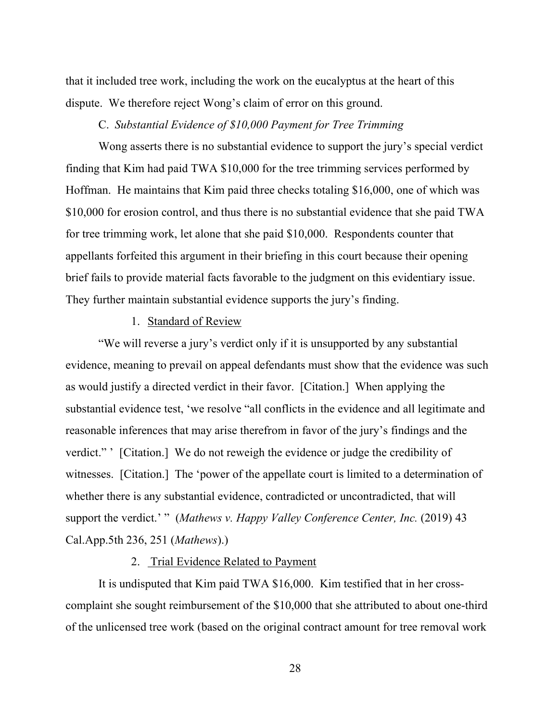that it included tree work, including the work on the eucalyptus at the heart of this dispute. We therefore reject Wong's claim of error on this ground.

# C. *Substantial Evidence of \$10,000 Payment for Tree Trimming*

Wong asserts there is no substantial evidence to support the jury's special verdict finding that Kim had paid TWA \$10,000 for the tree trimming services performed by Hoffman. He maintains that Kim paid three checks totaling \$16,000, one of which was \$10,000 for erosion control, and thus there is no substantial evidence that she paid TWA for tree trimming work, let alone that she paid \$10,000. Respondents counter that appellants forfeited this argument in their briefing in this court because their opening brief fails to provide material facts favorable to the judgment on this evidentiary issue. They further maintain substantial evidence supports the jury's finding.

## 1. Standard of Review

"We will reverse a jury's verdict only if it is unsupported by any substantial evidence, meaning to prevail on appeal defendants must show that the evidence was such as would justify a directed verdict in their favor. [Citation.] When applying the substantial evidence test, 'we resolve "all conflicts in the evidence and all legitimate and reasonable inferences that may arise therefrom in favor of the jury's findings and the verdict." ' [Citation.] We do not reweigh the evidence or judge the credibility of witnesses. [Citation.] The 'power of the appellate court is limited to a determination of whether there is any substantial evidence, contradicted or uncontradicted, that will support the verdict.' " (*Mathews v. Happy Valley Conference Center, Inc.* (2019) 43 Cal.App.5th 236, 251 (*Mathews*).)

# 2. Trial Evidence Related to Payment

It is undisputed that Kim paid TWA \$16,000. Kim testified that in her crosscomplaint she sought reimbursement of the \$10,000 that she attributed to about one-third of the unlicensed tree work (based on the original contract amount for tree removal work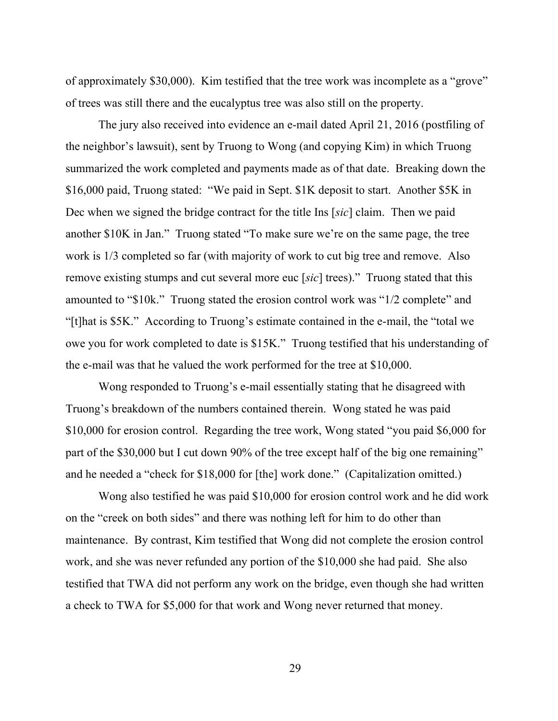of approximately \$30,000). Kim testified that the tree work was incomplete as a "grove" of trees was still there and the eucalyptus tree was also still on the property.

The jury also received into evidence an e-mail dated April 21, 2016 (postfiling of the neighbor's lawsuit), sent by Truong to Wong (and copying Kim) in which Truong summarized the work completed and payments made as of that date. Breaking down the \$16,000 paid, Truong stated: "We paid in Sept. \$1K deposit to start. Another \$5K in Dec when we signed the bridge contract for the title Ins [*sic*] claim. Then we paid another \$10K in Jan." Truong stated "To make sure we're on the same page, the tree work is 1/3 completed so far (with majority of work to cut big tree and remove. Also remove existing stumps and cut several more euc [*sic*] trees)." Truong stated that this amounted to "\$10k." Truong stated the erosion control work was "1/2 complete" and "[t]hat is \$5K." According to Truong's estimate contained in the e-mail, the "total we owe you for work completed to date is \$15K." Truong testified that his understanding of the e-mail was that he valued the work performed for the tree at \$10,000.

Wong responded to Truong's e-mail essentially stating that he disagreed with Truong's breakdown of the numbers contained therein. Wong stated he was paid \$10,000 for erosion control. Regarding the tree work, Wong stated "you paid \$6,000 for part of the \$30,000 but I cut down 90% of the tree except half of the big one remaining" and he needed a "check for \$18,000 for [the] work done." (Capitalization omitted.)

Wong also testified he was paid \$10,000 for erosion control work and he did work on the "creek on both sides" and there was nothing left for him to do other than maintenance. By contrast, Kim testified that Wong did not complete the erosion control work, and she was never refunded any portion of the \$10,000 she had paid. She also testified that TWA did not perform any work on the bridge, even though she had written a check to TWA for \$5,000 for that work and Wong never returned that money.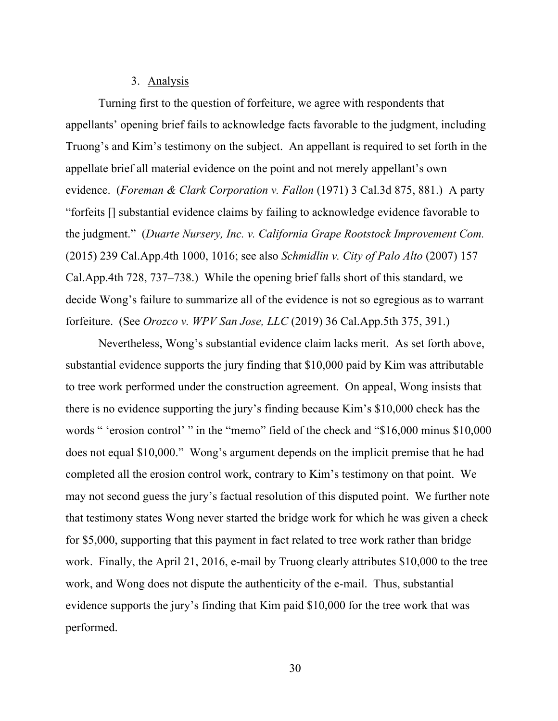### 3. Analysis

Turning first to the question of forfeiture, we agree with respondents that appellants' opening brief fails to acknowledge facts favorable to the judgment, including Truong's and Kim's testimony on the subject. An appellant is required to set forth in the appellate brief all material evidence on the point and not merely appellant's own evidence. (*Foreman & Clark Corporation v. Fallon* (1971) 3 Cal.3d 875, 881.) A party "forfeits [] substantial evidence claims by failing to acknowledge evidence favorable to the judgment." (*Duarte Nursery, Inc. v. California Grape Rootstock Improvement Com.*  (2015) 239 Cal.App.4th 1000, 1016; see also *Schmidlin v. City of Palo Alto* (2007) 157 Cal.App.4th 728, 737–738.) While the opening brief falls short of this standard, we decide Wong's failure to summarize all of the evidence is not so egregious as to warrant forfeiture. (See *Orozco v. WPV San Jose, LLC* (2019) 36 Cal.App.5th 375, 391.)

Nevertheless, Wong's substantial evidence claim lacks merit. As set forth above, substantial evidence supports the jury finding that \$10,000 paid by Kim was attributable to tree work performed under the construction agreement. On appeal, Wong insists that there is no evidence supporting the jury's finding because Kim's \$10,000 check has the words " 'erosion control' " in the "memo" field of the check and "\$16,000 minus \$10,000 does not equal \$10,000." Wong's argument depends on the implicit premise that he had completed all the erosion control work, contrary to Kim's testimony on that point. We may not second guess the jury's factual resolution of this disputed point. We further note that testimony states Wong never started the bridge work for which he was given a check for \$5,000, supporting that this payment in fact related to tree work rather than bridge work. Finally, the April 21, 2016, e-mail by Truong clearly attributes \$10,000 to the tree work, and Wong does not dispute the authenticity of the e-mail. Thus, substantial evidence supports the jury's finding that Kim paid \$10,000 for the tree work that was performed.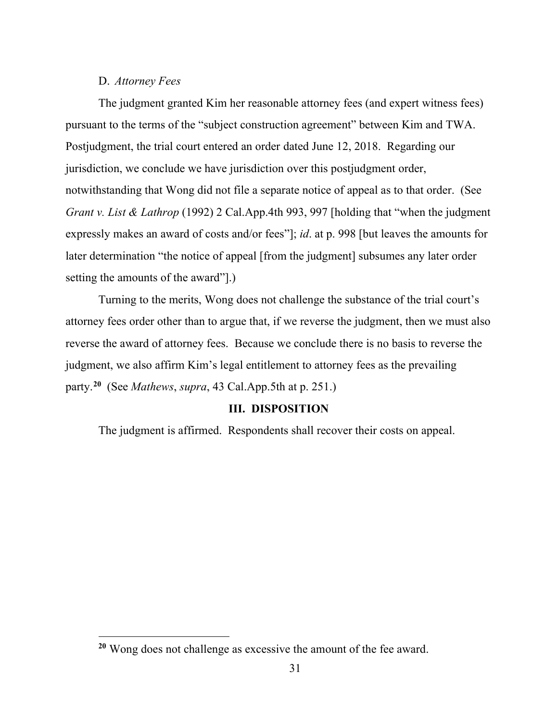## D. *Attorney Fees*

The judgment granted Kim her reasonable attorney fees (and expert witness fees) pursuant to the terms of the "subject construction agreement" between Kim and TWA. Postjudgment, the trial court entered an order dated June 12, 2018. Regarding our jurisdiction, we conclude we have jurisdiction over this postjudgment order, notwithstanding that Wong did not file a separate notice of appeal as to that order. (See *Grant v. List & Lathrop* (1992) 2 Cal.App.4th 993, 997 [holding that "when the judgment" expressly makes an award of costs and/or fees"]; *id*. at p. 998 [but leaves the amounts for later determination "the notice of appeal [from the judgment] subsumes any later order setting the amounts of the award"].)

Turning to the merits, Wong does not challenge the substance of the trial court's attorney fees order other than to argue that, if we reverse the judgment, then we must also reverse the award of attorney fees. Because we conclude there is no basis to reverse the judgment, we also affirm Kim's legal entitlement to attorney fees as the prevailing party. **[20](#page-30-0)** (See *Mathews*, *supra*, 43 Cal.App.5th at p. 251.)

# **III. DISPOSITION**

The judgment is affirmed. Respondents shall recover their costs on appeal.

<span id="page-30-0"></span>**<sup>20</sup>** Wong does not challenge as excessive the amount of the fee award.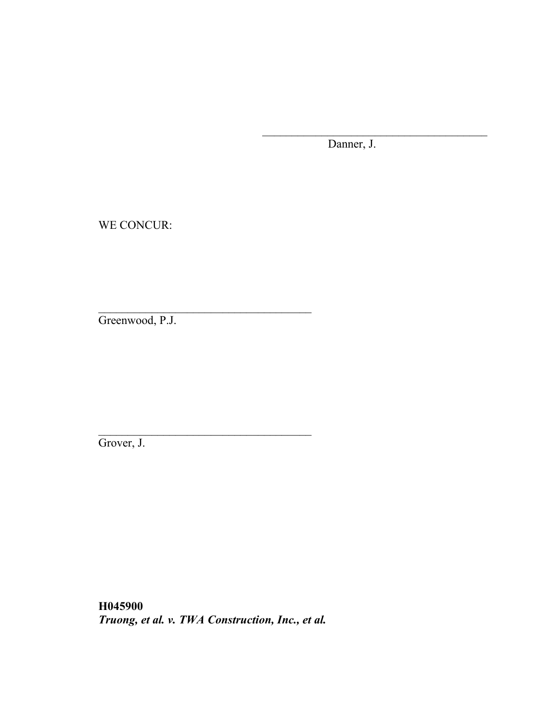Danner, J.

\_\_\_\_\_\_\_\_\_\_\_\_\_\_\_\_\_\_\_\_\_\_\_\_\_\_\_\_\_\_\_\_\_\_\_\_\_\_

WE CONCUR:

Greenwood, P.J.

Grover, J.

**H045900** *Truong, et al. v. TWA Construction, Inc., et al.*

 $\mathcal{L}_\text{max}$  and  $\mathcal{L}_\text{max}$  and  $\mathcal{L}_\text{max}$  and  $\mathcal{L}_\text{max}$ 

\_\_\_\_\_\_\_\_\_\_\_\_\_\_\_\_\_\_\_\_\_\_\_\_\_\_\_\_\_\_\_\_\_\_\_\_